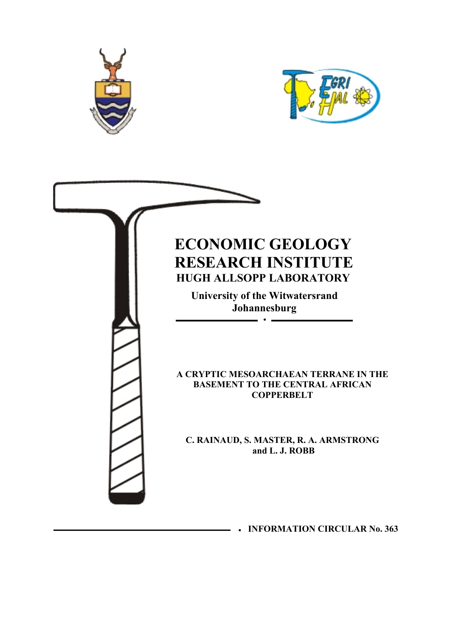



# **ECONOMIC GEOLOGY RESEARCH INSTITUTE HUGH ALLSOPP LABORATORY**

**University of the Witwatersrand Johannesburg** 

 $\sim$ 

**A CRYPTIC MESOARCHAEAN TERRANE IN THE BASEMENT TO THE CENTRAL AFRICAN COPPERBELT** 

**C. RAINAUD, S. MASTER, R. A. ARMSTRONG and L. J. ROBB**

y **INFORMATION CIRCULAR No. 363**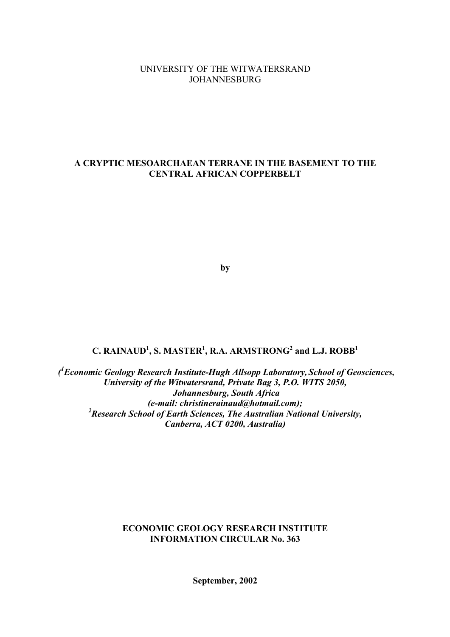## UNIVERSITY OF THE WITWATERSRAND JOHANNESBURG

# **A CRYPTIC MESOARCHAEAN TERRANE IN THE BASEMENT TO THE CENTRAL AFRICAN COPPERBELT**

**by** 

# $C$ . RAINAUD<sup>1</sup>, S. MASTER<sup>1</sup>, R.A. ARMSTRONG<sup>2</sup> and L.J. ROBB<sup>1</sup>

 *(1 Economic Geology Research Institute-Hugh Allsopp Laboratory, School of Geosciences, University of the Witwatersrand, Private Bag 3, P.O. WITS 2050, Johannesburg, South Africa (e-mail: christinerainaud@hotmail.com); 2 Research School of Earth Sciences, The Australian National University, Canberra, ACT 0200, Australia)* 

# **ECONOMIC GEOLOGY RESEARCH INSTITUTE INFORMATION CIRCULAR No. 363**

**September, 2002**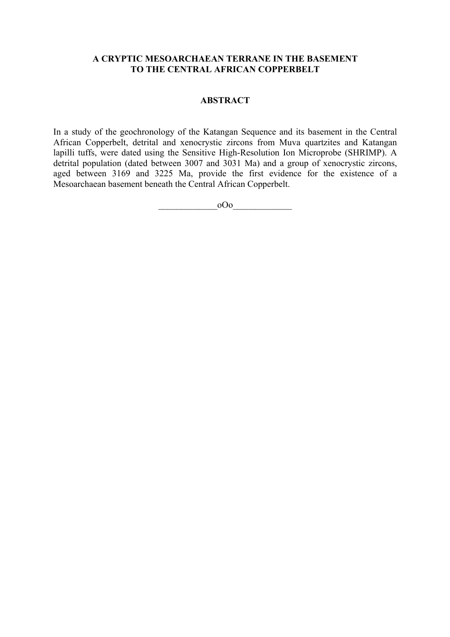## **A CRYPTIC MESOARCHAEAN TERRANE IN THE BASEMENT TO THE CENTRAL AFRICAN COPPERBELT**

## **ABSTRACT**

In a study of the geochronology of the Katangan Sequence and its basement in the Central African Copperbelt, detrital and xenocrystic zircons from Muva quartzites and Katangan lapilli tuffs, were dated using the Sensitive High-Resolution Ion Microprobe (SHRIMP). A detrital population (dated between 3007 and 3031 Ma) and a group of xenocrystic zircons, aged between 3169 and 3225 Ma, provide the first evidence for the existence of a Mesoarchaean basement beneath the Central African Copperbelt.

\_\_\_\_\_\_\_\_\_\_\_\_\_oOo\_\_\_\_\_\_\_\_\_\_\_\_\_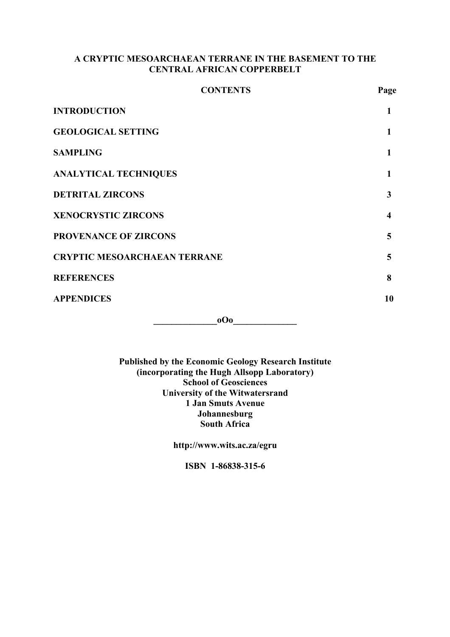# **A CRYPTIC MESOARCHAEAN TERRANE IN THE BASEMENT TO THE CENTRAL AFRICAN COPPERBELT**

| <b>CONTENTS</b>                     | Page             |
|-------------------------------------|------------------|
| <b>INTRODUCTION</b>                 | 1                |
| <b>GEOLOGICAL SETTING</b>           | 1                |
| <b>SAMPLING</b>                     | 1                |
| <b>ANALYTICAL TECHNIQUES</b>        | 1                |
| <b>DETRITAL ZIRCONS</b>             | 3                |
| <b>XENOCRYSTIC ZIRCONS</b>          | $\boldsymbol{4}$ |
| <b>PROVENANCE OF ZIRCONS</b>        | 5                |
| <b>CRYPTIC MESOARCHAEAN TERRANE</b> | 5                |
| <b>REFERENCES</b>                   | 8                |
| <b>APPENDICES</b>                   | 10               |
|                                     |                  |

**0O0** 

**Published by the Economic Geology Research Institute (incorporating the Hugh Allsopp Laboratory) School of Geosciences University of the Witwatersrand 1 Jan Smuts Avenue Johannesburg South Africa** 

**http://www.wits.ac.za/egru** 

**ISBN 1-86838-315-6**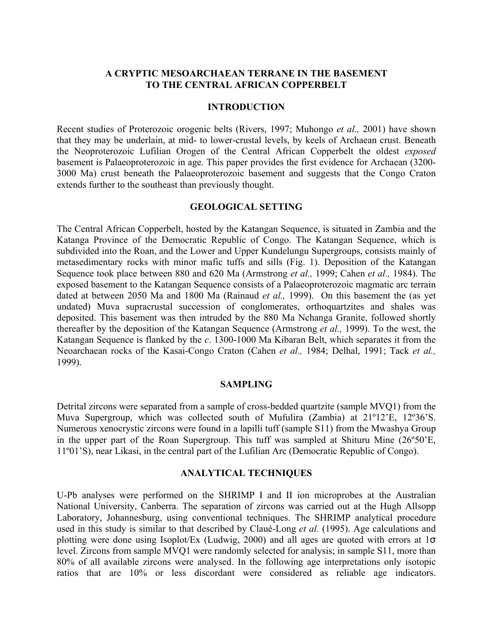# **A CRYPTIC MESOARCHAEAN TERRANE IN THE BASEMENT TO THE CENTRAL AFRICAN COPPERBELT**

## **INTRODUCTION**

Recent studies of Proterozoic orogenic belts (Rivers, 1997; Muhongo *et al.,* 2001) have shown that they may be underlain, at mid- to lower-crustal levels, by keels of Archaean crust. Beneath the Neoproterozoic Lufilian Orogen of the Central African Copperbelt the oldest *exposed* basement is Palaeoproterozoic in age. This paper provides the first evidence for Archaean (3200- 3000 Ma) crust beneath the Palaeoproterozoic basement and suggests that the Congo Craton extends further to the southeast than previously thought.

## **GEOLOGICAL SETTING**

The Central African Copperbelt, hosted by the Katangan Sequence, is situated in Zambia and the Katanga Province of the Democratic Republic of Congo. The Katangan Sequence, which is subdivided into the Roan, and the Lower and Upper Kundelungu Supergroups, consists mainly of metasedimentary rocks with minor mafic tuffs and sills (Fig. 1). Deposition of the Katangan Sequence took place between 880 and 620 Ma (Armstrong *et al.,* 1999; Cahen *et al.,* 1984). The exposed basement to the Katangan Sequence consists of a Palaeoproterozoic magmatic arc terrain dated at between 2050 Ma and 1800 Ma (Rainaud *et al.,* 1999). On this basement the (as yet undated) Muva supracrustal succession of conglomerates, orthoquartzites and shales was deposited. This basement was then intruded by the 880 Ma Nchanga Granite, followed shortly thereafter by the deposition of the Katangan Sequence (Armstrong *et al.,* 1999). To the west, the Katangan Sequence is flanked by the *c*. 1300-1000 Ma Kibaran Belt, which separates it from the Neoarchaean rocks of the Kasai-Congo Craton (Cahen *et al.,* 1984; Delhal, 1991; Tack *et al.,* 1999).

## **SAMPLING**

Detrital zircons were separated from a sample of cross-bedded quartzite (sample MVQ1) from the Muva Supergroup, which was collected south of Mufulira (Zambia) at 21º12'E, 12º36'S. Numerous xenocrystic zircons were found in a lapilli tuff (sample S11) from the Mwashya Group in the upper part of the Roan Supergroup. This tuff was sampled at Shituru Mine (26º50'E, 11º01'S), near Likasi, in the central part of the Lufilian Arc (Democratic Republic of Congo).

## **ANALYTICAL TECHNIQUES**

U-Pb analyses were performed on the SHRIMP I and II ion microprobes at the Australian National University, Canberra. The separation of zircons was carried out at the Hugh Allsopp Laboratory, Johannesburg, using conventional techniques. The SHRIMP analytical procedure used in this study is similar to that described by Claué-Long *et al.* (1995). Age calculations and plotting were done using Isoplot/Ex (Ludwig, 2000) and all ages are quoted with errors at 1σ level. Zircons from sample MVQ1 were randomly selected for analysis; in sample S11, more than 80% of all available zircons were analysed. In the following age interpretations only isotopic ratios that are 10% or less discordant were considered as reliable age indicators.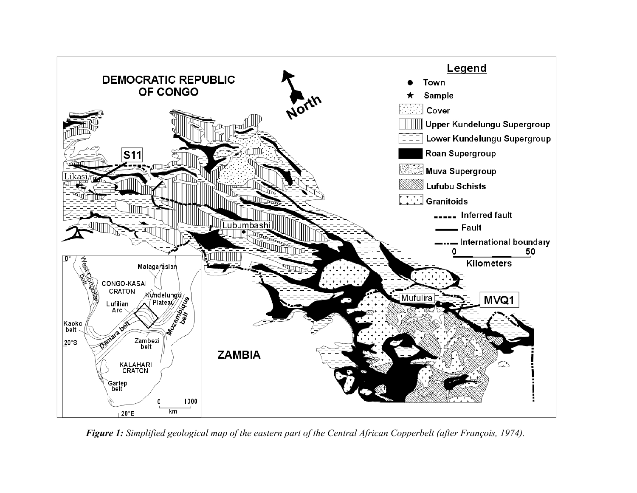

*Figure 1: Simplified geological map of the eastern part of the Central African Copperbelt (after François, 1974).*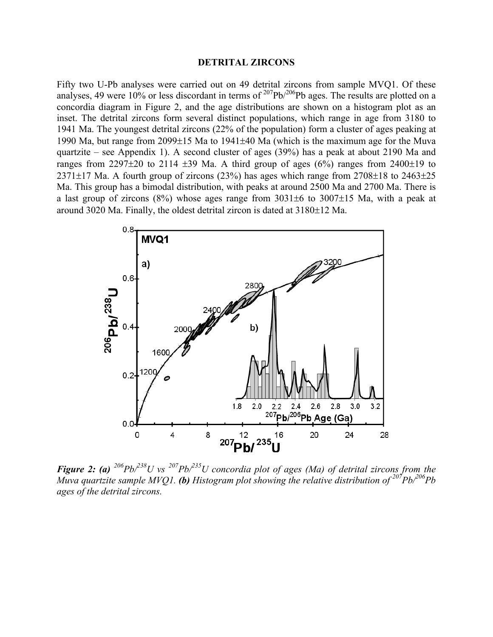#### **DETRITAL ZIRCONS**

Fifty two U-Pb analyses were carried out on 49 detrital zircons from sample MVQ1. Of these analyses, 49 were 10% or less discordant in terms of  $^{207}Pb/^{206}Pb$  ages. The results are plotted on a concordia diagram in Figure 2, and the age distributions are shown on a histogram plot as an inset. The detrital zircons form several distinct populations, which range in age from 3180 to 1941 Ma. The youngest detrital zircons (22% of the population) form a cluster of ages peaking at 1990 Ma, but range from 2099±15 Ma to 1941±40 Ma (which is the maximum age for the Muva quartzite – see Appendix 1). A second cluster of ages (39%) has a peak at about 2190 Ma and ranges from 2297 $\pm$ 20 to 2114  $\pm$ 39 Ma. A third group of ages (6%) ranges from 2400 $\pm$ 19 to  $2371\pm17$  Ma. A fourth group of zircons (23%) has ages which range from  $2708\pm18$  to  $2463\pm25$ Ma. This group has a bimodal distribution, with peaks at around 2500 Ma and 2700 Ma. There is a last group of zircons (8%) whose ages range from 3031±6 to 3007±15 Ma, with a peak at around 3020 Ma. Finally, the oldest detrital zircon is dated at 3180±12 Ma.



*Figure 2: (a) 206Pb/238U vs 207Pb/235U concordia plot of ages (Ma) of detrital zircons from the Muva quartzite sample MVQ1.* (b) Histogram plot showing the relative distribution of  $\frac{207}{P}b/\frac{206}{P}b$ *ages of the detrital zircons.*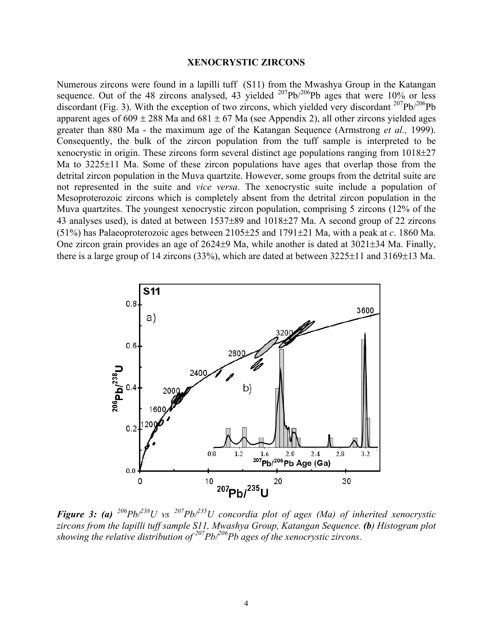### **XENOCRYSTIC ZIRCONS**

Numerous zircons were found in a lapilli tuff (S11) from the Mwashya Group in the Katangan sequence. Out of the 48 zircons analysed, 43 yielded  $^{207}Pb/^{206}Pb$  ages that were 10% or less discordant (Fig. 3). With the exception of two zircons, which yielded very discordant  $^{207}Pb^{206}Pb$ apparent ages of  $609 \pm 288$  Ma and  $681 \pm 67$  Ma (see Appendix 2), all other zircons yielded ages greater than 880 Ma - the maximum age of the Katangan Sequence (Armstrong *et al.,* 1999). Consequently, the bulk of the zircon population from the tuff sample is interpreted to be xenocrystic in origin. These zircons form several distinct age populations ranging from 1018±27 Ma to 3225±11 Ma. Some of these zircon populations have ages that overlap those from the detrital zircon population in the Muva quartzite. However, some groups from the detrital suite are not represented in the suite and *vice versa*. The xenocrystic suite include a population of Mesoproterozoic zircons which is completely absent from the detrital zircon population in the Muva quartzites. The youngest xenocrystic zircon population, comprising 5 zircons (12% of the 43 analyses used), is dated at between 1537±89 and 1018±27 Ma. A second group of 22 zircons (51%) has Palaeoproterozoic ages between 2105±25 and 1791±21 Ma, with a peak at *c*. 1860 Ma. One zircon grain provides an age of 2624±9 Ma, while another is dated at 3021±34 Ma. Finally, there is a large group of 14 zircons  $(33\%)$ , which are dated at between  $3225\pm11$  and  $3169\pm13$  Ma.



*Figure 3: (a)*  $^{206}Pb^{238}U$  vs  $^{207}Pb^{235}U$  concordia plot of ages (Ma) of inherited xenocrystic *zircons from the lapilli tuff sample S11, Mwashya Group, Katangan Sequence. (b) Histogram plot showing the relative distribution of* <sup>207</sup>*Pb*<sup>206</sup>*Pb* ages of the xenocrystic zircons.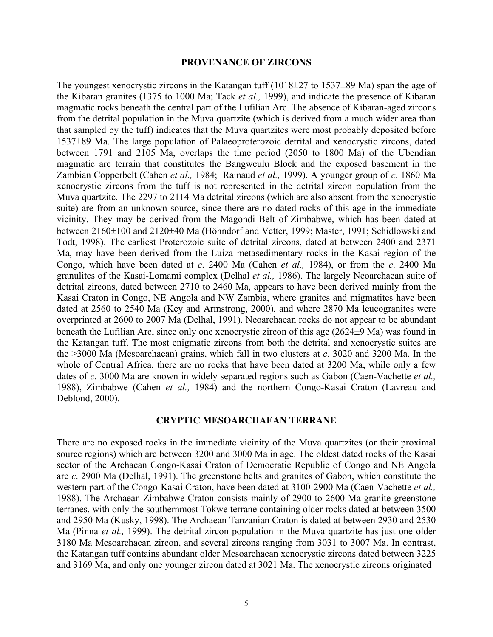## **PROVENANCE OF ZIRCONS**

The youngest xenocrystic zircons in the Katangan tuff ( $1018\pm27$  to  $1537\pm89$  Ma) span the age of the Kibaran granites (1375 to 1000 Ma; Tack *et al.,* 1999), and indicate the presence of Kibaran magmatic rocks beneath the central part of the Lufilian Arc. The absence of Kibaran-aged zircons from the detrital population in the Muva quartzite (which is derived from a much wider area than that sampled by the tuff) indicates that the Muva quartzites were most probably deposited before 1537±89 Ma. The large population of Palaeoproterozoic detrital and xenocrystic zircons, dated between 1791 and 2105 Ma, overlaps the time period (2050 to 1800 Ma) of the Ubendian magmatic arc terrain that constitutes the Bangweulu Block and the exposed basement in the Zambian Copperbelt (Cahen *et al.,* 1984; Rainaud *et al.,* 1999). A younger group of *c*. 1860 Ma xenocrystic zircons from the tuff is not represented in the detrital zircon population from the Muva quartzite. The 2297 to 2114 Ma detrital zircons (which are also absent from the xenocrystic suite) are from an unknown source, since there are no dated rocks of this age in the immediate vicinity. They may be derived from the Magondi Belt of Zimbabwe, which has been dated at between 2160±100 and 2120±40 Ma (Höhndorf and Vetter, 1999; Master, 1991; Schidlowski and Todt, 1998). The earliest Proterozoic suite of detrital zircons, dated at between 2400 and 2371 Ma, may have been derived from the Luiza metasedimentary rocks in the Kasai region of the Congo, which have been dated at *c*. 2400 Ma (Cahen *et al.,* 1984), or from the *c*. 2400 Ma granulites of the Kasai-Lomami complex (Delhal *et al.,* 1986). The largely Neoarchaean suite of detrital zircons, dated between 2710 to 2460 Ma, appears to have been derived mainly from the Kasai Craton in Congo, NE Angola and NW Zambia, where granites and migmatites have been dated at 2560 to 2540 Ma (Key and Armstrong, 2000), and where 2870 Ma leucogranites were overprinted at 2600 to 2007 Ma (Delhal, 1991). Neoarchaean rocks do not appear to be abundant beneath the Lufilian Arc, since only one xenocrystic zircon of this age (2624±9 Ma) was found in the Katangan tuff. The most enigmatic zircons from both the detrital and xenocrystic suites are the >3000 Ma (Mesoarchaean) grains, which fall in two clusters at *c*. 3020 and 3200 Ma. In the whole of Central Africa, there are no rocks that have been dated at 3200 Ma, while only a few dates of *c*. 3000 Ma are known in widely separated regions such as Gabon (Caen-Vachette *et al.,* 1988), Zimbabwe (Cahen *et al.,* 1984) and the northern Congo-Kasai Craton (Lavreau and Deblond, 2000).

## **CRYPTIC MESOARCHAEAN TERRANE**

There are no exposed rocks in the immediate vicinity of the Muva quartzites (or their proximal source regions) which are between 3200 and 3000 Ma in age. The oldest dated rocks of the Kasai sector of the Archaean Congo-Kasai Craton of Democratic Republic of Congo and NE Angola are *c*. 2900 Ma (Delhal, 1991). The greenstone belts and granites of Gabon, which constitute the western part of the Congo-Kasai Craton, have been dated at 3100-2900 Ma (Caen-Vachette *et al.,* 1988). The Archaean Zimbabwe Craton consists mainly of 2900 to 2600 Ma granite-greenstone terranes, with only the southernmost Tokwe terrane containing older rocks dated at between 3500 and 2950 Ma (Kusky, 1998). The Archaean Tanzanian Craton is dated at between 2930 and 2530 Ma (Pinna *et al.,* 1999). The detrital zircon population in the Muva quartzite has just one older 3180 Ma Mesoarchaean zircon, and several zircons ranging from 3031 to 3007 Ma. In contrast, the Katangan tuff contains abundant older Mesoarchaean xenocrystic zircons dated between 3225 and 3169 Ma, and only one younger zircon dated at 3021 Ma. The xenocrystic zircons originated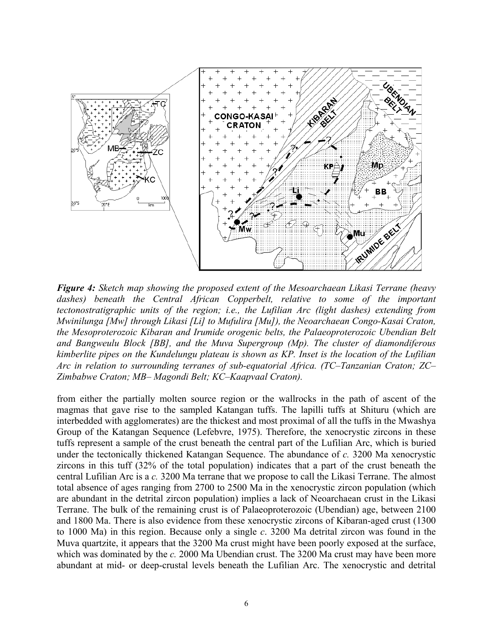

*Figure 4: Sketch map showing the proposed extent of the Mesoarchaean Likasi Terrane (heavy*  dashes) beneath the Central African Copperbelt, relative to some of the important *tectonostratigraphic units of the region; i.e., the Lufilian Arc (light dashes) extending from Mwinilunga [Mw] through Likasi [Li] to Mufulira [Mu]), the Neoarchaean Congo-Kasai Craton, the Mesoproterozoic Kibaran and Irumide orogenic belts, the Palaeoproterozoic Ubendian Belt and Bangweulu Block [BB], and the Muva Supergroup (Mp). The cluster of diamondiferous kimberlite pipes on the Kundelungu plateau is shown as KP. Inset is the location of the Lufilian Arc in relation to surrounding terranes of sub-equatorial Africa. (TC–Tanzanian Craton; ZC– Zimbabwe Craton; MB– Magondi Belt; KC–Kaapvaal Craton).* 

from either the partially molten source region or the wallrocks in the path of ascent of the magmas that gave rise to the sampled Katangan tuffs. The lapilli tuffs at Shituru (which are interbedded with agglomerates) are the thickest and most proximal of all the tuffs in the Mwashya Group of the Katangan Sequence (Lefebvre, 1975). Therefore, the xenocrystic zircons in these tuffs represent a sample of the crust beneath the central part of the Lufilian Arc, which is buried under the tectonically thickened Katangan Sequence. The abundance of *c.* 3200 Ma xenocrystic zircons in this tuff (32% of the total population) indicates that a part of the crust beneath the central Lufilian Arc is a *c.* 3200 Ma terrane that we propose to call the Likasi Terrane. The almost total absence of ages ranging from 2700 to 2500 Ma in the xenocrystic zircon population (which are abundant in the detrital zircon population) implies a lack of Neoarchaean crust in the Likasi Terrane. The bulk of the remaining crust is of Palaeoproterozoic (Ubendian) age, between 2100 and 1800 Ma. There is also evidence from these xenocrystic zircons of Kibaran-aged crust (1300 to 1000 Ma) in this region. Because only a single *c*. 3200 Ma detrital zircon was found in the Muva quartzite, it appears that the 3200 Ma crust might have been poorly exposed at the surface, which was dominated by the *c.* 2000 Ma Ubendian crust. The 3200 Ma crust may have been more abundant at mid- or deep-crustal levels beneath the Lufilian Arc. The xenocrystic and detrital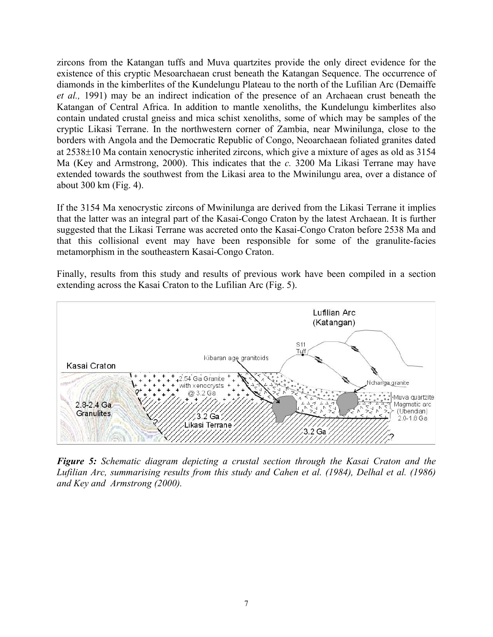zircons from the Katangan tuffs and Muva quartzites provide the only direct evidence for the existence of this cryptic Mesoarchaean crust beneath the Katangan Sequence. The occurrence of diamonds in the kimberlites of the Kundelungu Plateau to the north of the Lufilian Arc (Demaiffe *et al.,* 1991) may be an indirect indication of the presence of an Archaean crust beneath the Katangan of Central Africa. In addition to mantle xenoliths, the Kundelungu kimberlites also contain undated crustal gneiss and mica schist xenoliths, some of which may be samples of the cryptic Likasi Terrane. In the northwestern corner of Zambia, near Mwinilunga, close to the borders with Angola and the Democratic Republic of Congo, Neoarchaean foliated granites dated at 2538±10 Ma contain xenocrystic inherited zircons, which give a mixture of ages as old as 3154 Ma (Key and Armstrong, 2000). This indicates that the *c.* 3200 Ma Likasi Terrane may have extended towards the southwest from the Likasi area to the Mwinilungu area, over a distance of about 300 km (Fig. 4).

If the 3154 Ma xenocrystic zircons of Mwinilunga are derived from the Likasi Terrane it implies that the latter was an integral part of the Kasai-Congo Craton by the latest Archaean. It is further suggested that the Likasi Terrane was accreted onto the Kasai-Congo Craton before 2538 Ma and that this collisional event may have been responsible for some of the granulite-facies metamorphism in the southeastern Kasai-Congo Craton.

Finally, results from this study and results of previous work have been compiled in a section extending across the Kasai Craton to the Lufilian Arc (Fig. 5).



*Figure 5: Schematic diagram depicting a crustal section through the Kasai Craton and the Lufilian Arc, summarising results from this study and Cahen et al. (1984), Delhal et al. (1986) and Key and Armstrong (2000).*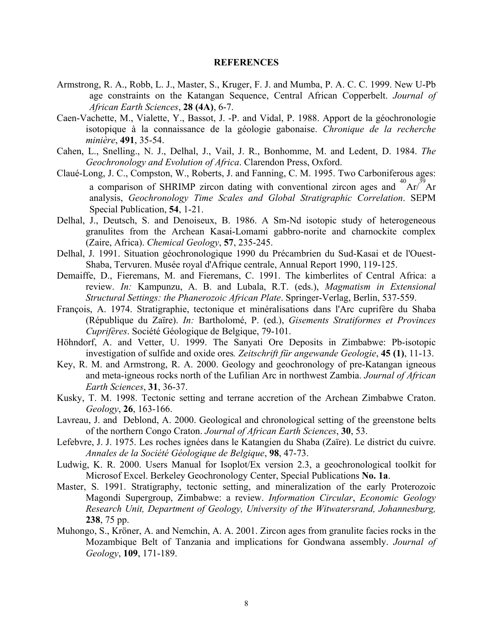### **REFERENCES**

- Armstrong, R. A., Robb, L. J., Master, S., Kruger, F. J. and Mumba, P. A. C. C. 1999. New U-Pb age constraints on the Katangan Sequence, Central African Copperbelt. *Journal of African Earth Sciences*, **28 (4A)**, 6-7.
- Caen-Vachette, M., Vialette, Y., Bassot, J. -P. and Vidal, P. 1988. Apport de la géochronologie isotopique à la connaissance de la géologie gabonaise. *Chronique de la recherche minière*, **491**, 35-54.
- Cahen, L., Snelling., N. J., Delhal, J., Vail, J. R., Bonhomme, M. and Ledent, D. 1984. *The Geochronology and Evolution of Africa*. Clarendon Press, Oxford.
- Claué-Long, J. C., Compston, W., Roberts, J. and Fanning, C. M. 1995. Two Carboniferous ages: a comparison of SHRIMP zircon dating with conventional zircon ages and  ${}^{40}Ar/{}^{39}Ar$ analysis, *Geochronology Time Scales and Global Stratigraphic Correlation*. SEPM Special Publication, **54**, 1-21.
- Delhal, J., Deutsch, S. and Denoiseux, B. 1986. A Sm-Nd isotopic study of heterogeneous granulites from the Archean Kasai-Lomami gabbro-norite and charnockite complex (Zaire, Africa). *Chemical Geology*, **57**, 235-245.
- Delhal, J. 1991. Situation géochronologique 1990 du Précambrien du Sud-Kasai et de l'Ouest-Shaba, Tervuren. Musée royal d'Afrique centrale, Annual Report 1990, 119-125.
- Demaiffe, D., Fieremans, M. and Fieremans, C. 1991. The kimberlites of Central Africa: a review. *In:* Kampunzu, A. B. and Lubala, R.T. (eds.), *Magmatism in Extensional Structural Settings: the Phanerozoic African Plate*. Springer-Verlag, Berlin, 537-559.
- François, A. 1974. Stratigraphie, tectonique et minéralisations dans l'Arc cuprifère du Shaba (République du Zaïre). *In:* Bartholomé, P. (ed.), *Gisements Stratiformes et Provinces Cuprifères*. Société Géologique de Belgique, 79-101.
- Höhndorf, A. and Vetter, U. 1999. The Sanyati Ore Deposits in Zimbabwe: Pb-isotopic investigation of sulfide and oxide ores*. Zeitschrift für angewande Geologie*, **45 (1)**, 11-13.
- Key, R. M. and Armstrong, R. A. 2000. Geology and geochronology of pre-Katangan igneous and meta-igneous rocks north of the Lufilian Arc in northwest Zambia. *Journal of African Earth Sciences*, **31**, 36-37.
- Kusky, T. M. 1998. Tectonic setting and terrane accretion of the Archean Zimbabwe Craton. *Geology*, **26**, 163-166.
- Lavreau, J. and Deblond, A. 2000. Geological and chronological setting of the greenstone belts of the northern Congo Craton. *Journal of African Earth Sciences*, **30**, 53.
- Lefebvre, J. J. 1975. Les roches ignées dans le Katangien du Shaba (Zaïre). Le district du cuivre. *Annales de la Société Géologique de Belgique*, **98**, 47-73.
- Ludwig, K. R. 2000. Users Manual for Isoplot/Ex version 2.3, a geochronological toolkit for Microsof Excel. Berkeley Geochronology Center, Special Publications **No. 1a**.
- Master, S. 1991. Stratigraphy, tectonic setting, and mineralization of the early Proterozoic Magondi Supergroup, Zimbabwe: a review. *Information Circular*, *Economic Geology Research Unit, Department of Geology, University of the Witwatersrand, Johannesburg,* **238**, 75 pp.
- Muhongo, S., Kröner, A. and Nemchin, A. A. 2001. Zircon ages from granulite facies rocks in the Mozambique Belt of Tanzania and implications for Gondwana assembly. *Journal of Geology*, **109**, 171-189.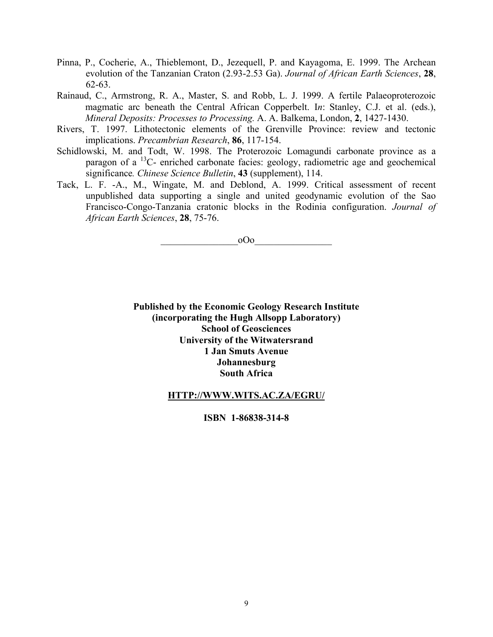- Pinna, P., Cocherie, A., Thieblemont, D., Jezequell, P. and Kayagoma, E. 1999. The Archean evolution of the Tanzanian Craton (2.93-2.53 Ga). *Journal of African Earth Sciences*, **28**, 62-63.
- Rainaud, C., Armstrong, R. A., Master, S. and Robb, L. J. 1999. A fertile Palaeoproterozoic magmatic arc beneath the Central African Copperbelt. I*n*: Stanley, C.J. et al. (eds.), *Mineral Deposits: Processes to Processing.* A. A. Balkema, London, **2**, 1427-1430.
- Rivers, T. 1997. Lithotectonic elements of the Grenville Province: review and tectonic implications. *Precambrian Research*, **86**, 117-154.
- Schidlowski, M. and Todt, W. 1998. The Proterozoic Lomagundi carbonate province as a paragon of a 13C- enriched carbonate facies: geology, radiometric age and geochemical significance*. Chinese Science Bulletin*, **43** (supplement), 114.
- Tack, L. F. -A., M., Wingate, M. and Deblond, A. 1999. Critical assessment of recent unpublished data supporting a single and united geodynamic evolution of the Sao Francisco-Congo-Tanzania cratonic blocks in the Rodinia configuration. *Journal of African Earth Sciences*, **28**, 75-76.

 $_{\rm 0OO}$ 

**Published by the Economic Geology Research Institute (incorporating the Hugh Allsopp Laboratory) School of Geosciences University of the Witwatersrand 1 Jan Smuts Avenue Johannesburg South Africa** 

#### **HTTP://WWW.WITS.AC.ZA/EGRU/**

#### **ISBN 1-86838-314-8**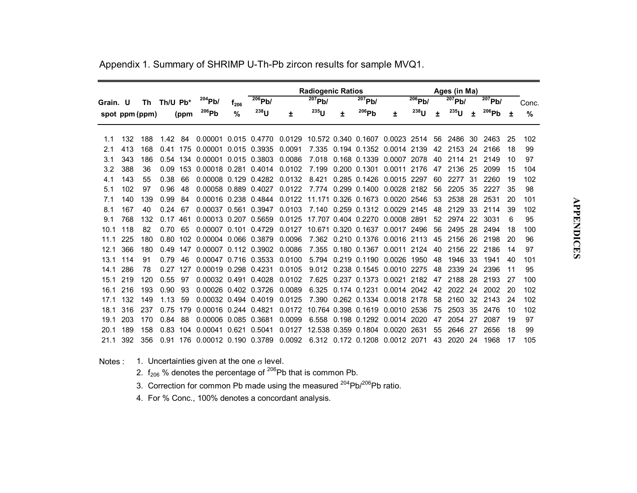|          |     |                |          |      |                               |           |                         |        | <b>Radiogenic Ratios</b> |    |                     |                                 |                         |    |                         |    |           |    |               |
|----------|-----|----------------|----------|------|-------------------------------|-----------|-------------------------|--------|--------------------------|----|---------------------|---------------------------------|-------------------------|----|-------------------------|----|-----------|----|---------------|
| Grain. U |     | Th             | Th/U Pb* |      | $^{204}Pb/$                   | $f_{206}$ | $\overline{^{206}}$ Pb/ |        | $\overline{^{207}}$ Pb/  |    | $207$ Pb/           |                                 | $\overline{^{206}}$ Pb/ |    | $\overline{^{207}}$ Pb/ |    | $207$ Pb/ |    | Conc.         |
|          |     | spot ppm (ppm) |          | (ppm | 206Pb                         | %         | $238$ U                 | Ŧ.     | $^{235}$ U               | ÷. | 206Pb               | Ŧ.                              | $238$ U                 | ÷  | $^{235}$ U              | ÷  | 206Pb     | 土  | $\frac{9}{6}$ |
|          |     |                |          |      |                               |           |                         |        |                          |    |                     |                                 |                         |    |                         |    |           |    |               |
| 1.1      | 132 | 188            | 1.42     | 84   | 0.00001                       |           | 0.015 0.4770            | 0.0129 |                          |    |                     | 10.572 0.340 0.1607 0.0023 2514 |                         | 56 | 2486                    | 30 | 2463      | 25 | 102           |
| 2.1      | 413 | 168            | 0.41     | 175  | 0.00001 0.015 0.3935          |           |                         | 0.0091 |                          |    |                     | 7.335 0.194 0.1352 0.0014 2139  |                         | 42 | 2153                    | 24 | 2166      | 18 | 99            |
| 3.1      | 343 | 186            | 0.54 134 |      | 0.00001 0.015 0.3803          |           |                         | 0.0086 | 7.018                    |    | 0.168 0.1339        | 0.0007 2078                     |                         | 40 | 2114                    | 21 | 2149      | 10 | 97            |
| 3.2      | 388 | 36             | 0.09     | 153  | 0.00018 0.281 0.4014          |           |                         | 0.0102 | 7.199                    |    | 0.200 0.1301        | 0.0011                          | 2176                    | 47 | 2136                    | 25 | 2099      | 15 | 104           |
| 4.1      | 143 | 55             | 0.38     | 66   | 0.00008 0.129 0.4282          |           |                         | 0.0132 | 8.421                    |    | 0.285 0.1426        | 0.0015 2297                     |                         | 60 | 2277                    | 31 | 2260      | 19 | 102           |
| 5.1      | 102 | 97             | 0.96     | 48   | 0.00058 0.889 0.4027          |           |                         | 0.0122 |                          |    | 7.774 0.299 0.1400  | 0.0028                          | 2182                    | 56 | 2205                    | 35 | 2227      | 35 | 98            |
| 7.1      | 140 | 139            | 0.99     | 84   | 0.00016 0.238 0.4844          |           |                         | 0.0122 |                          |    | 11.171 0.326 0.1673 | 0.0020                          | 2546                    | 53 | 2538                    | 28 | 2531      | 20 | 101           |
| 8.1      | 167 | 40             | 0.24     | 67   | 0.00037 0.561 0.3947          |           |                         | 0.0103 |                          |    |                     | 7.140 0.259 0.1312 0.0029 2145  |                         | 48 | 2129                    | 33 | 2114      | 39 | 102           |
| 9.1      | 768 | 132            | 0.17     | 461  | 0.00013 0.207 0.5659          |           |                         | 0.0125 |                          |    |                     | 17.707 0.404 0.2270 0.0008 2891 |                         | 52 | 2974                    | 22 | 3031      | 6  | 95            |
| 10.1     | 118 | 82             | 0.70     | 65   | 0.00007 0.101 0.4729          |           |                         | 0.0127 |                          |    | 10.671 0.320 0.1637 | 0.0017                          | 2496                    | 56 | 2495                    | 28 | 2494      | 18 | 100           |
| 11.1     | 225 | 180            | 0.80     | 102  | 0.00004 0.066 0.3879          |           |                         | 0.0096 |                          |    | 7.362 0.210 0.1376  | 0.0016 2113                     |                         | 45 | 2156                    | 26 | 2198      | 20 | 96            |
| 12.1     | 366 | 180            | 0.49     | 147  | 0.00007 0.112 0.3902          |           |                         | 0.0086 | 7.355                    |    | 0.180 0.1367        | 0.0011                          | 2124                    | 40 | 2156                    | 22 | 2186      | 14 | 97            |
| 13.1     | 114 | 91             | 0.79     | 46   | 0.00047 0.716 0.3533          |           |                         | 0.0100 | 5.794                    |    | 0.219 0.1190        | 0.0026                          | 1950                    | 48 | 1946                    | 33 | 1941      | 40 | 101           |
| 14.1     | 286 | 78             | 0.27     | 127  | 0.00019 0.298 0.4231          |           |                         | 0.0105 | 9.012                    |    | 0.238 0.1545        | 0.0010 2275                     |                         | 48 | 2339                    | 24 | 2396      | 11 | 95            |
| 15.1     | 219 | 120            | 0.55     | 97   | 0.00032 0.491 0.4028          |           |                         | 0.0102 |                          |    | 7.625 0.237 0.1373  | 0.0021                          | 2182                    | 47 | 2188                    | 28 | 2193      | 27 | 100           |
| 16.1     | 216 | 193            | 0.90     | 93   | 0.00026 0.402 0.3726          |           |                         | 0.0089 | 6.325                    |    | 0.174 0.1231        | 0.0014 2042                     |                         | 42 | 2022                    | 24 | 2002      | 20 | 102           |
| 17.1     | 132 | 149            | 1.13     | 59   | 0.00032 0.494 0.4019          |           |                         | 0.0125 |                          |    |                     | 7.390 0.262 0.1334 0.0018 2178  |                         | 58 | 2160                    | 32 | 2143      | 24 | 102           |
| 18.1     | 316 | 237            | 0.75     | 179  | 0.00016 0.244 0.4821          |           |                         | 0.0172 |                          |    | 10.764 0.398 0.1619 | 0.0010                          | 2536                    | 75 | 2503                    | 35 | 2476      | 10 | 102           |
| 19.1     | 203 | 170            | 0.84     | 88   | 0.00006 0.085 0.3681          |           |                         | 0.0099 |                          |    | 6.558 0.198 0.1292  | 0.0014 2020                     |                         | 47 | 2054                    | 27 | 2087      | 19 | 97            |
| 20.1     | 189 | 158            | 0.83     | 104  | 0.00041 0.621                 |           | 0.5041                  | 0.0127 |                          |    | 12.538 0.359 0.1804 | 0.0020                          | 2631                    | 55 | 2646                    | 27 | 2656      | 18 | 99            |
| 21.1     | 392 | 356            |          |      | 0.91 176 0.00012 0.190 0.3789 |           |                         | 0.0092 |                          |    |                     | 6.312 0.172 0.1208 0.0012 2071  |                         | 43 | 2020                    | 24 | 1968      | 17 | 105           |

Appendix 1. Summary of SHRIMP U-Th-Pb zircon results for sample MVQ1.

Notes :  $-$  1. Uncertainties given at the one  $\sigma$  level.

- 2.  $f_{206}$  % denotes the percentage of  $^{206}$ Pb that is common Pb.
- 3. Correction for common Pb made using the measured  $204Pb/206Pb$  ratio.

4. For % Conc., 100% denotes a concordant analysis.

**APPENDICES APPENDICES**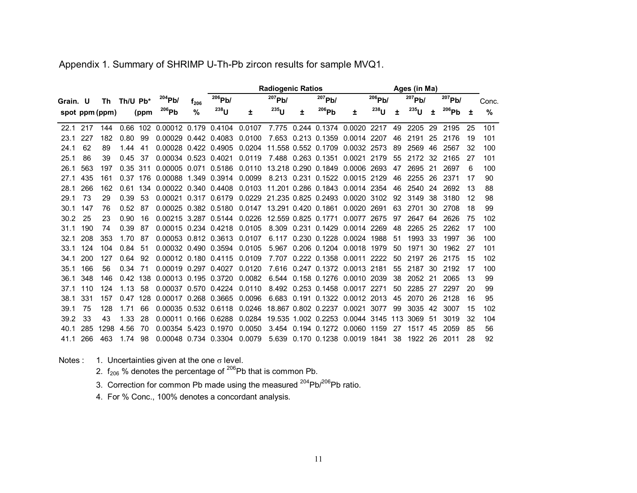|          |     |                |      |          |                      |                  |              |        | Ages (in Ma) |   |                            |                                        |           |     |             |    |             |    |       |
|----------|-----|----------------|------|----------|----------------------|------------------|--------------|--------|--------------|---|----------------------------|----------------------------------------|-----------|-----|-------------|----|-------------|----|-------|
| Grain. U |     | Th             |      | Th/U Pb* | $204$ Pb/            | 1 <sub>206</sub> | $206$ Pb/    |        | $207$ Pb/    |   | $207$ Pb/                  |                                        | $206$ Pb/ |     | $^{207}Pb/$ |    | $^{207}Pb/$ |    | Conc. |
|          |     | spot ppm (ppm) |      | (ppm     | 206Pb                | $\%$             | $^{238}$ U   | ±.     | $^{235}$ U   | 士 | 206Pb                      | Ŧ                                      | $238$ U   | ٠   | $235$ U     | ٠  | 206Pb       | 土  | %     |
| 22.1     | 217 | 144            | 0.66 | 102      | 0.00012 0.179 0.4104 |                  |              | 0.0107 | 7.775        |   |                            | 0.244 0.1374 0.0020 2217               |           | 49  | 2205        | 29 | 2195        | 25 | 101   |
| 23.1     | 227 | 182            | 0.80 | 99       | 0.00029 0.442 0.4083 |                  |              | 0.0100 |              |   | 7.653 0.213 0.1359         | 0.0014 2207                            |           | 46  | 2191        | 25 | 2176        | 19 | 101   |
| 24.1     | 62  | 89             | 1.44 | 41       | 0.00028 0.422 0.4905 |                  |              | 0.0204 |              |   | 11.558 0.552 0.1709        | 0.0032 2573                            |           | 89  | 2569        | 46 | 2567        | 32 | 100   |
| 25.1     | 86  | 39             | 0.45 | 37       | 0.00034 0.523 0.4021 |                  |              | 0.0119 |              |   | 7.488 0.263 0.1351         | 0.0021                                 | 2179      | 55  | 2172        | 32 | 2165        | 27 | 101   |
| 26.1     | 563 | 197            | 0.35 | -311     | 0.00005 0.071 0.5186 |                  |              | 0.0110 |              |   | 13.218 0.290 0.1849        | 0.0006 2693                            |           | 47  | 2695        | 21 | 2697        | 6  | 100   |
| 27.1     | 435 | 161            |      | 0.37 176 | 0.00088 1.349        |                  | 0.3914       | 0.0099 |              |   |                            | 8.213 0.231 0.1522 0.0015 2129         |           | 46  | 2255        | 26 | 2371        | 17 | 90    |
| 28.1     | 266 | 162            | 0.61 | 134      | 0.00022 0.340 0.4408 |                  |              |        |              |   |                            | 0.0103 11.201 0.286 0.1843 0.0014 2354 |           | 46  | 2540        | 24 | 2692        | 13 | 88    |
| 29.1     | 73  | 29             | 0.39 | 53       | 0.00021              |                  | 0.317 0.6179 |        |              |   |                            | 0.0229 21.235 0.825 0.2493 0.0020 3102 |           | 92  | 3149        | 38 | 3180        | 12 | 98    |
| 30.1     | 147 | 76             | 0.52 | 87       | 0.00025 0.382 0.5180 |                  |              |        |              |   | 0.0147 13.291 0.420 0.1861 | 0.0020 2691                            |           | 63  | 2701        | 30 | 2708        | 18 | 99    |
| 30.2     | 25  | 23             | 0.90 | 16       | 0.00215 3.287 0.5144 |                  |              | 0.0226 |              |   | 12.559 0.825 0.1771        | 0.0077 2675                            |           | 97  | 2647        | 64 | 2626        | 75 | 102   |
| 31.1     | 190 | 74             | 0.39 | 87       | 0.00015 0.234 0.4218 |                  |              | 0.0105 | 8.309        |   | 0.231 0.1429               | 0.0014 2269                            |           | 48  | 2265        | 25 | 2262        | 17 | 100   |
| 32.1     | 208 | 353            | 1.70 | 87       | 0.00053 0.812 0.3613 |                  |              | 0.0107 | 6.117        |   |                            | 0.230 0.1228 0.0024 1988               |           | 51  | 1993        | 33 | 1997        | 36 | 100   |
| 33.1     | 124 | 104            | 0.84 | 51       | 0.00032 0.490 0.3594 |                  |              | 0.0105 | 5.967        |   | 0.206 0.1204 0.0018        |                                        | 1979      | 50  | 1971        | 30 | 1962        | 27 | 101   |
| 34.1     | 200 | 127            | 0.64 | 92       | 0.00012 0.180 0.4115 |                  |              | 0.0109 | 7.707        |   | 0.222 0.1358 0.0011        |                                        | 2222      | 50  | 2197        | 26 | 2175        | 15 | 102   |
| 35.1     | 166 | 56             | 0.34 | 71       | 0.00019 0.297 0.4027 |                  |              | 0.0120 | 7.616        |   |                            | 0.247 0.1372 0.0013 2181               |           | 55  | 2187        | 30 | 2192        | 17 | 100   |
| 36.1     | 348 | 146            | 0.42 | 138      | 0.00013 0.195 0.3720 |                  |              | 0.0082 | 6.544        |   |                            | 0.158 0.1276 0.0010 2039               |           | 38  | 2052        | 21 | 2065        | 13 | 99    |
| 37.1     | 110 | 124            | 1.13 | 58       | 0.00037 0.570 0.4224 |                  |              | 0.0110 | 8.492        |   |                            | 0.253 0.1458 0.0017 2271               |           | 50  | 2285        | 27 | 2297        | 20 | 99    |
| 38.1     | 331 | 157            |      | 0.47 128 | 0.00017 0.268 0.3665 |                  |              | 0.0096 | 6.683        |   |                            | 0.191 0.1322 0.0012 2013               |           | 45  | 2070        | 26 | 2128        | 16 | 95    |
| 39.1     | 75  | 128            | 1.71 | 66       | 0.00035 0.532 0.6118 |                  |              | 0.0246 |              |   | 18.867 0.802 0.2237        | 0.0021                                 | 3077      | 99  | 3035        | 42 | 3007        | 15 | 102   |
| 39.2     | 33  | 43             | 1.33 | 28       | 0.00011              |                  | 0.166 0.6288 | 0.0284 |              |   | 19.535 1.002 0.2253        | 0.0044                                 | 3145      | 113 | 3069        | 51 | 3019        | 32 | 104   |
| 40.1     | 285 | 1298           | 4.56 | 70       | 0.00354 5.423 0.1970 |                  |              | 0.0050 | 3.454        |   | 0.194 0.1272 0.0060        |                                        | 1159      | 27  | 1517        | 45 | 2059        | 85 | 56    |
| 41.1     | 266 | 463            | 1.74 | 98       | 0.00048 0.734 0.3304 |                  |              | 0.0079 | 5.639        |   |                            | 0.170 0.1238 0.0019 1841               |           | 38  | 1922        | 26 | 2011        | 28 | 92    |

Appendix 1. Summary of SHRIMP U-Th-Pb zircon results for sample MVQ1.

Notes :  $-$  1. Uncertainties given at the one  $\sigma$  level.

- 2.  $f_{206}$  % denotes the percentage of  $^{206}$ Pb that is common Pb.
- 3. Correction for common Pb made using the measured  $204Pb/206Pb$  ratio.
- 4. For % Conc., 100% denotes a concordant analysis.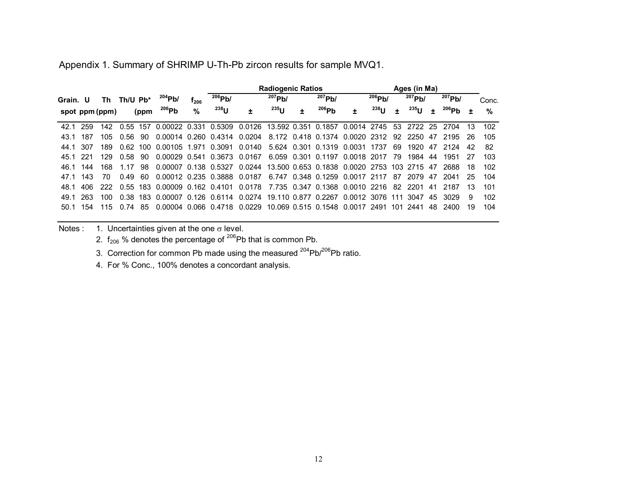Appendix 1. Summary of SHRIMP U-Th-Pb zircon results for sample MVQ1.

|          |     |                |             |      |                                                                               |           |           | <b>Radiogenic Ratios</b>               |              | Ages (in Ma) |                                |   |             |      |                         |     |                 |     |       |
|----------|-----|----------------|-------------|------|-------------------------------------------------------------------------------|-----------|-----------|----------------------------------------|--------------|--------------|--------------------------------|---|-------------|------|-------------------------|-----|-----------------|-----|-------|
| Grain. U |     | Th             | Th/U $Pb^*$ |      | 204Pb/                                                                        | $r_{206}$ | $206$ Pb/ |                                        | $^{207}$ Pb/ |              | $207$ Pb/                      |   | $^{206}Pb/$ |      | $\overline{^{207}}$ Pb/ |     | $^{207}Pb/$     |     | Conc. |
|          |     | spot ppm (ppm) |             | (ppm | 206Pb                                                                         | $\%$      | $238$ U   | ±                                      | $^{235}$ U   | ٠            | $^{206}Pb$                     | ٠ | $^{238}$ U  | ٠    | <sup>235</sup> U        | ÷   | $^{206}$ Pb     | ÷   | %     |
| 42.1     | 259 | 142            | 0.55 157    |      | 0.00022 0.331 0.5309 0.0126 13.592 0.351 0.1857 0.0014 2745                   |           |           |                                        |              |              |                                |   |             |      |                         |     | 53 2722 25 2704 | 13  | 102   |
| 43.1     | 187 | 105.           | 0.56        | 90.  | 0.00014 0.260 0.4314 0.0204 8.172 0.418 0.1374 0.0020 2312                    |           |           |                                        |              |              |                                |   |             |      |                         |     | 92 2250 47 2195 |     | 105   |
| 44.1     | 307 | 189            | 0.62        |      | 100 0.00105 1.971 0.3091                                                      |           |           | 0.0140 5.624 0.301 0.1319 0.0031 1737  |              |              |                                |   |             | 69   | 1920                    | 47  | 2124            | 42  | 82    |
| 45.1 221 |     | 129            | 0.58        | 90.  | 0.00029 0.541 0.3673 0.0167                                                   |           |           |                                        |              |              | 6.059 0.301 0.1197 0.0018 2017 |   |             | - 79 | 1984 44                 |     | 1951            | -27 | 103   |
| 46.1 144 |     | 168            | 1 1 7       | 98.  | 0.00007 0.138 0.5327 0.0244 13.500 0.653 0.1838 0.0020 2753 103 2715 47       |           |           |                                        |              |              |                                |   |             |      |                         |     | 2688            | 18  | 102   |
| 47.1     | 143 | 70             | 0.49        | -60  | 0.00012 0.235 0.3888 0.0187 6.747 0.348 0.1259 0.0017 2117                    |           |           |                                        |              |              |                                |   |             | 87   | 2079                    | 47  | 2041            | 25  | 104   |
| 48.1     | 406 | 222            |             |      | 0.55 183 0.00009 0.162 0.4101 0.0178 7.735 0.347 0.1368 0.0010 2216           |           |           |                                        |              |              |                                |   |             |      | 82 2201                 | 41  | 2187            | 13  | 101   |
| 49.1     | 263 | 100.           | 0.38        |      | 183  0.00007  0.126  0.6114  0.0274  19.110  0.877  0.2267  0.0012  3076  111 |           |           |                                        |              |              |                                |   |             |      | 3047                    | 45  | 3029            | 9   | 102   |
| 50.1     | 154 | 115            | በ 74        | 85.  | 0.00004 0.066 0.4718                                                          |           |           | 0.0229 10.069 0.515 0.1548 0.0017 2491 |              |              |                                |   |             | 101  | 2441                    | 48. | 2400            | 19  | 104   |
|          |     |                |             |      |                                                                               |           |           |                                        |              |              |                                |   |             |      |                         |     |                 |     |       |

Notes :  $-1$ . Uncertainties given at the one  $\sigma$  level.

2.  $f_{206}$  % denotes the percentage of <sup>206</sup>Pb that is common Pb.

3. Correction for common Pb made using the measured  $204Pb/206Pb$  ratio.

4. For % Conc., 100% denotes a concordant analysis.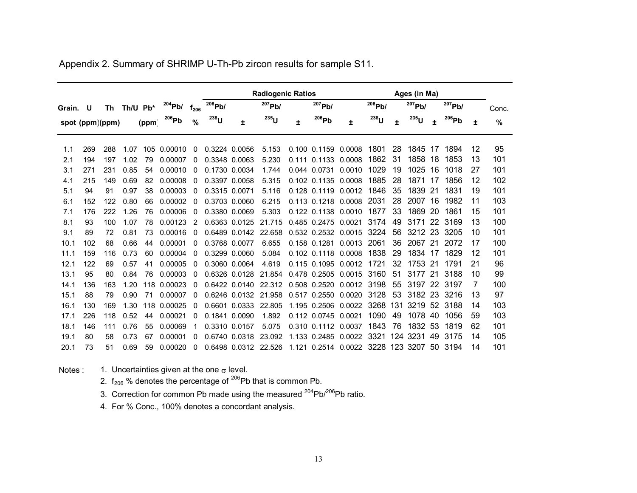|          |                 |     |          |       |           |           |               |               | <b>Radiogenic Ratios</b> |       |                  | Ages (in Ma)        |           |     |            |     |           |    |               |
|----------|-----------------|-----|----------|-------|-----------|-----------|---------------|---------------|--------------------------|-------|------------------|---------------------|-----------|-----|------------|-----|-----------|----|---------------|
| Grain. U |                 | Th  | Th/U Pb* |       | $204$ Pb/ | $f_{206}$ | $206$ Pb/     |               | $207$ Pb/                |       | $207$ Pb/        |                     | $206$ Pb/ |     | $207$ Pb/  |     | $207$ Pb/ |    | Conc.         |
|          | spot (ppm)(ppm) |     |          | (ppm) | 206Pb     | %         | $238$ U       | Ŧ             | $235$ U                  | Ŧ     | 206Pb            | Ŧ                   | $238$ U   | Ŧ   | $^{235}$ U | ÷   | 206Pb     | Ŧ  | $\frac{0}{0}$ |
| 1.1      | 269             | 288 | 1.07     | 105   | 0.00010   | 0         | 0.3224 0.0056 |               | 5.153                    |       | 0.100 0.1159     | 0.0008              | 1801      | 28  | 1845       | 17  | 1894      | 12 | 95            |
| 2.1      | 194             | 197 | 1.02     | 79    | 0.00007   | 0         | 0.3348 0.0063 |               | 5.230                    | 0.111 | 0.1133           | 0.0008              | 1862      | 31  | 1858       | 18  | 1853      | 13 | 101           |
| 3.1      | 271             | 231 | 0.85     | 54    | 0.00010   | 0         | 0.1730 0.0034 |               | 1.744                    |       | 0.044 0.0731     | 0.0010              | 1029      | 19  | 1025       | 16  | 1018      | 27 | 101           |
| 4.1      | 215             | 149 | 0.69     | 82    | 0.00008   | 0         | 0.3397 0.0058 |               | 5.315                    |       | 0.102 0.1135     | 0.0008              | 1885      | 28  | 1871       | 17  | 1856      | 12 | 102           |
| 5.1      | 94              | 91  | 0.97     | 38    | 0.00003   | 0         | 0.3315 0.0071 |               | 5.116                    | 0.128 | 0.1119           | 0.0012              | 1846      | 35  | 1839       | 21  | 1831      | 19 | 101           |
| 6.1      | 152             | 122 | 0.80     | 66    | 0.00002   | 0         | 0.3703 0.0060 |               | 6.215                    | 0.113 | 0.1218           | 0.0008              | 2031      | 28  | 2007       | 16  | 1982      | 11 | 103           |
| 7.1      | 176             | 222 | 1.26     | 76    | 0.00006   | 0         | 0.3380 0.0069 |               | 5.303                    |       | 0.122 0.1138     | 0.0010              | 1877      | 33  | 1869       | 20  | 1861      | 15 | 101           |
| 8.1      | 93              | 100 | 1.07     | 78    | 0.00123   | 2         | 0.6363 0.0125 |               | 21.715                   |       | 0.485 0.2475     | 0.0021              | 3174      | 49  | 3171       | 22  | 3169      | 13 | 100           |
| 9.1      | 89              | 72  | 0.81     | 73    | 0.00016   | 0         |               | 0.6489 0.0142 | 22.658                   |       | 0.532 0.2532     | 0.0015              | 3224      | 56  | 3212       | -23 | 3205      | 10 | 101           |
| 10.1     | 102             | 68  | 0.66     | 44    | 0.00001   | 0         | 0.3768 0.0077 |               | 6.655                    |       | 0.158 0.1281     | 0.0013              | 2061      | 36  | 2067       | 21  | 2072      | 17 | 100           |
| 11.1     | 159             | 116 | 0.73     | 60    | 0.00004   | 0         | 0.3299 0.0060 |               | 5.084                    |       | $0.102$ $0.1118$ | 0.0008              | 1838      | 29  | 1834       | 17  | 1829      | 12 | 101           |
| 12.1     | 122             | 69  | 0.57     | 41    | 0.00005   | 0         |               | 0.3060 0.0064 | 4.619                    |       | 0.115 0.1095     | 0.0012              | 1721      | 32  | 1753       | 21  | 1791      | 21 | 96            |
| 13.1     | 95              | 80  | 0.84     | 76    | 0.00003   | 0         |               | 0.6326 0.0128 | 21.854                   |       | 0.478 0.2505     | 0.0015              | 3160      | 51  | 3177       | -21 | 3188      | 10 | 99            |
| 14.1     | 136             | 163 | 1.20     | 118   | 0.00023   | 0         |               | 0.6422 0.0140 | 22.312                   |       | 0.508 0.2520     | 0.0012              | 3198      | 55  | 3197       | 22  | 3197      | 7  | 100           |
| 15.1     | 88              | 79  | 0.90     | 71    | 0.00007   | 0         |               | 0.6246 0.0132 | 21.958                   | 0.517 | 0.2550           | 0.0020              | 3128      | 53  | 3182       | 23  | 3216      | 13 | 97            |
| 16.1     | 130             | 169 | 1.30     | 118   | 0.00025   | 0         | 0.6601        | 0.0333        | 22.805                   |       | 1.195 0.2506     | 0.0022              | 3268      | 131 | 3219       | -52 | 3188      | 14 | 103           |
| 17.1     | 226             | 118 | 0.52     | 44    | 0.00021   | 0         |               | 0.1841 0.0090 | 1.892                    |       | 0.112 0.0745     | 0.0021              | 1090      | 49  | 1078       | 40  | 1056      | 59 | 103           |
| 18.1     | 146             | 111 | 0.76     | 55    | 0.00069   |           | 0.3310 0.0157 |               | 5.075                    |       | 0.310 0.1112     | 0.0037              | 1843      | 76  | 1832       | -53 | 1819      | 62 | 101           |
| 19.1     | 80              | 58  | 0.73     | 67    | 0.00001   | 0         |               | 0.6740 0.0318 | 23.092                   |       | 1.133 0.2485     | 0.0022              | 3321      | 124 | 3231       | 49  | 3175      | 14 | 105           |
| 20.1     | 73              | 51  | 0.69     | 59    | 0.00020   | 0         |               | 0.6498 0.0312 | 22.526                   |       |                  | 1.121 0.2514 0.0022 | 3228      |     | 123 3207   | 50  | 3194      | 14 | 101           |

Appendix 2. Summary of SHRIMP U-Th-Pb zircon results for sample S11.

Notes : $\colon$   $\quad$  1. Uncertainties given at the one  $\sigma$  level.

- 2.  $f_{206}$  % denotes the percentage of  $^{206}$ Pb that is common Pb.
- 3. Correction for common Pb made using the measured  $204Pb/206Pb$  ratio.
- 4. For % Conc., 100% denotes a concordant analysis.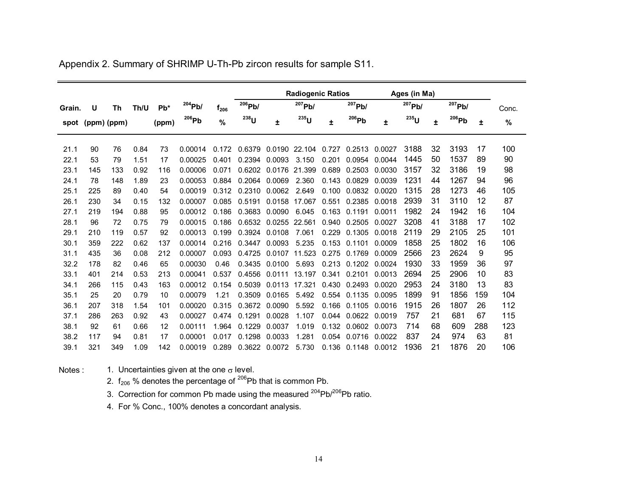|        |                  |           |      |       |           |           |             |               | <b>Radiogenic Ratios</b> |       |                     |        | Ages (in Ma) |    |            |     |       |
|--------|------------------|-----------|------|-------|-----------|-----------|-------------|---------------|--------------------------|-------|---------------------|--------|--------------|----|------------|-----|-------|
| Grain. | U                | <b>Th</b> | Th/U | $Pb*$ | $204$ Pb/ | $f_{206}$ | $^{206}Pb/$ |               | $207$ Pb/                |       | $^{207}Pb/$         |        | 207Pb/       |    | 207Pb/     |     | Conc. |
|        | spot (ppm) (ppm) |           |      | (ppm) | 206Pb     | %         | $238$ U     | 士             | $^{235}$ U               | Ŧ     | 206Pb               | Ŧ.     | $235$ U      | Ŧ. | $^{206}Pb$ | 士   | %     |
|        |                  |           |      |       |           |           |             |               |                          |       |                     |        |              |    |            |     |       |
| 21.1   | 90               | 76        | 0.84 | 73    | 0.00014   | 0.172     | 0.6379      | 0.0190 22.104 |                          | 0.727 | 0.2513              | 0.0027 | 3188         | 32 | 3193       | 17  | 100   |
| 22.1   | 53               | 79        | 1.51 | 17    | 0.00025   | 0.401     | 0.2394      | 0.0093        | 3.150                    | 0.201 | 0.0954              | 0.0044 | 1445         | 50 | 1537       | 89  | 90    |
| 23.1   | 145              | 133       | 0.92 | 116   | 0.00006   | 0.071     | 0.6202      | 0.0176        | 21.399                   | 0.689 | 0.2503              | 0.0030 | 3157         | 32 | 3186       | 19  | 98    |
| 24.1   | 78               | 148       | 1.89 | 23    | 0.00053   | 0.884     | 0.2064      | 0.0069        | 2.360                    | 0.143 | 0.0829              | 0.0039 | 1231         | 44 | 1267       | 94  | 96    |
| 25.1   | 225              | 89        | 0.40 | 54    | 0.00019   | 0.312     | 0.2310      | 0.0062        | 2.649                    | 0.100 | 0.0832              | 0.0020 | 1315         | 28 | 1273       | 46  | 105   |
| 26.1   | 230              | 34        | 0.15 | 132   | 0.00007   | 0.085     | 0.5191      | 0.0158        | 17.067                   | 0.551 | 0.2385 0.0018       |        | 2939         | 31 | 3110       | 12  | 87    |
| 27.1   | 219              | 194       | 0.88 | 95    | 0.00012   | 0.186     | 0.3683      | 0.0090        | 6.045                    |       | 0.163 0.1191        | 0.0011 | 1982         | 24 | 1942       | 16  | 104   |
| 28.1   | 96               | 72        | 0.75 | 79    | 0.00015   | 0.186     | 0.6532      | 0.0255 22.561 |                          | 0.940 | 0.2505              | 0.0027 | 3208         | 41 | 3188       | 17  | 102   |
| 29.1   | 210              | 119       | 0.57 | 92    | 0.00013   | 0.199     | 0.3924      | 0.0108        | 7.061                    | 0.229 | 0.1305              | 0.0018 | 2119         | 29 | 2105       | 25  | 101   |
| 30.1   | 359              | 222       | 0.62 | 137   | 0.00014   | 0.216     | 0.3447      | 0.0093        | 5.235                    | 0.153 | 0.1101              | 0.0009 | 1858         | 25 | 1802       | 16  | 106   |
| 31.1   | 435              | 36        | 0.08 | 212   | 0.00007   | 0.093     | 0.4725      | 0.0107        | 11.523                   | 0.275 | 0.1769              | 0.0009 | 2566         | 23 | 2624       | 9   | 95    |
| 32.2   | 178              | 82        | 0.46 | 65    | 0.00030   | 0.46      | 0.3435      | 0.0100        | 5.693                    |       | 0.213 0.1202        | 0.0024 | 1930         | 33 | 1959       | 36  | 97    |
| 33.1   | 401              | 214       | 0.53 | 213   | 0.00041   | 0.537     | 0.4556      | 0.0111        | 13.197                   | 0.341 | 0.2101              | 0.0013 | 2694         | 25 | 2906       | 10  | 83    |
| 34.1   | 266              | 115       | 0.43 | 163   | 0.00012   | 0.154     | 0.5039      | 0.0113        | 17.321                   | 0.430 | 0.2493              | 0.0020 | 2953         | 24 | 3180       | 13  | 83    |
| 35.1   | 25               | 20        | 0.79 | 10    | 0.00079   | 1.21      | 0.3509      | 0.0165        | 5.492                    |       | 0.554 0.1135        | 0.0095 | 1899         | 91 | 1856       | 159 | 104   |
| 36.1   | 207              | 318       | 1.54 | 101   | 0.00020   | 0.315     | 0.3672      | 0.0090        | 5.592                    | 0.166 | 0.1105              | 0.0016 | 1915         | 26 | 1807       | 26  | 112   |
| 37.1   | 286              | 263       | 0.92 | 43    | 0.00027   | 0.474     | 0.1291      | 0.0028        | 1.107                    |       | 0.044 0.0622        | 0.0019 | 757          | 21 | 681        | 67  | 115   |
| 38.1   | 92               | 61        | 0.66 | 12    | 0.00111   | 1.964     | 0.1229      | 0.0037        | 1.019                    |       | 0.132 0.0602        | 0.0073 | 714          | 68 | 609        | 288 | 123   |
| 38.2   | 117              | 94        | 0.81 | 17    | 0.00001   | 0.017     | 0.1298      | 0.0033        | 1.281                    |       | 0.054 0.0716        | 0.0022 | 837          | 24 | 974        | 63  | 81    |
| 39.1   | 321              | 349       | 1.09 | 142   | 0.00019   | 0.289     | 0.3622      | 0.0072        | 5.730                    |       | 0.136 0.1148 0.0012 |        | 1936         | 21 | 1876       | 20  | 106   |

Appendix 2. Summary of SHRIMP U-Th-Pb zircon results for sample S11.

Notes ::  $1.$  Uncertainties given at the one  $\sigma$  level.

2.  $f_{206}$  % denotes the percentage of  $^{206}$ Pb that is common Pb.

3. Correction for common Pb made using the measured <sup>204</sup>Pb/<sup>206</sup>Pb ratio.

4. For % Conc., 100% denotes a concordant analysis.